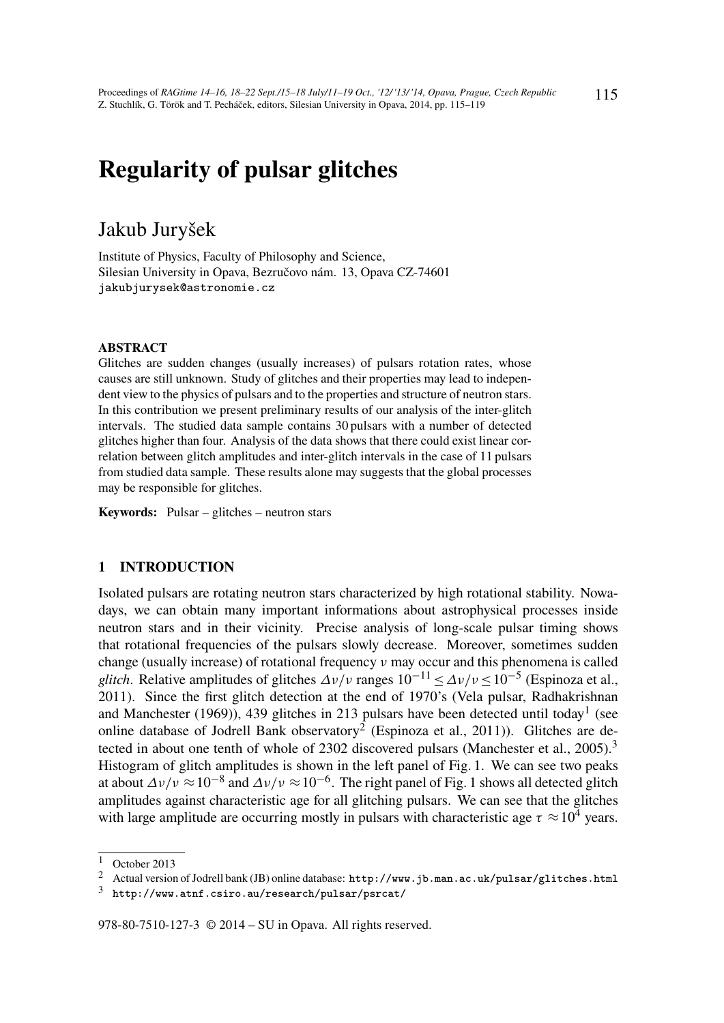# Regularity of pulsar glitches

# Jakub Juryšek

Institute of Physics, Faculty of Philosophy and Science, Silesian University in Opava, Bezručovo nám. 13, Opava CZ-74601 jakubjurysek@astronomie.cz

#### ABSTRACT

Glitches are sudden changes (usually increases) of pulsars rotation rates, whose causes are still unknown. Study of glitches and their properties may lead to independent view to the physics of pulsars and to the properties and structure of neutron stars. In this contribution we present preliminary results of our analysis of the inter-glitch intervals. The studied data sample contains 30 pulsars with a number of detected glitches higher than four. Analysis of the data shows that there could exist linear correlation between glitch amplitudes and inter-glitch intervals in the case of 11 pulsars from studied data sample. These results alone may suggests that the global processes may be responsible for glitches.

Keywords: Pulsar – glitches – neutron stars

#### 1 INTRODUCTION

Isolated pulsars are rotating neutron stars characterized by high rotational stability. Nowadays, we can obtain many important informations about astrophysical processes inside neutron stars and in their vicinity. Precise analysis of long-scale pulsar timing shows that rotational frequencies of the pulsars slowly decrease. Moreover, sometimes sudden change (usually increase) of rotational frequency ν may occur and this phenomena is called *glitch*. Relative amplitudes of glitches  $\Delta v/v$  ranges  $10^{-11} \le \Delta v/v \le 10^{-5}$  (Espinoza et al., 2011). Since the first glitch detection at the end of 1970's (Vela pulsar, Radhakrishnan and Manchester (1969)), 439 glitches in 213 pulsars have been detected until today<sup>1</sup> (see online database of Jodrell Bank observatory<sup>2</sup> (Espinoza et al., 2011)). Glitches are detected in about one tenth of whole of 2302 discovered pulsars (Manchester et al., 2005).<sup>3</sup> Histogram of glitch amplitudes is shown in the left panel of Fig. 1. We can see two peaks at about  $\Delta v/v \approx 10^{-8}$  and  $\Delta v/v \approx 10^{-6}$ . The right panel of Fig. 1 shows all detected glitch amplitudes against characteristic age for all glitching pulsars. We can see that the glitches with large amplitude are occurring mostly in pulsars with characteristic age  $\tau \approx 10^4$  years.

978-80-7510-127-3 © 2014 – SU in Opava. All rights reserved.

 $1$  October 2013

<sup>2</sup> Actual version of Jodrell bank (JB) online database: http://www.jb.man.ac.uk/pulsar/glitches.html

 $3$  http://www.atnf.csiro.au/research/pulsar/psrcat/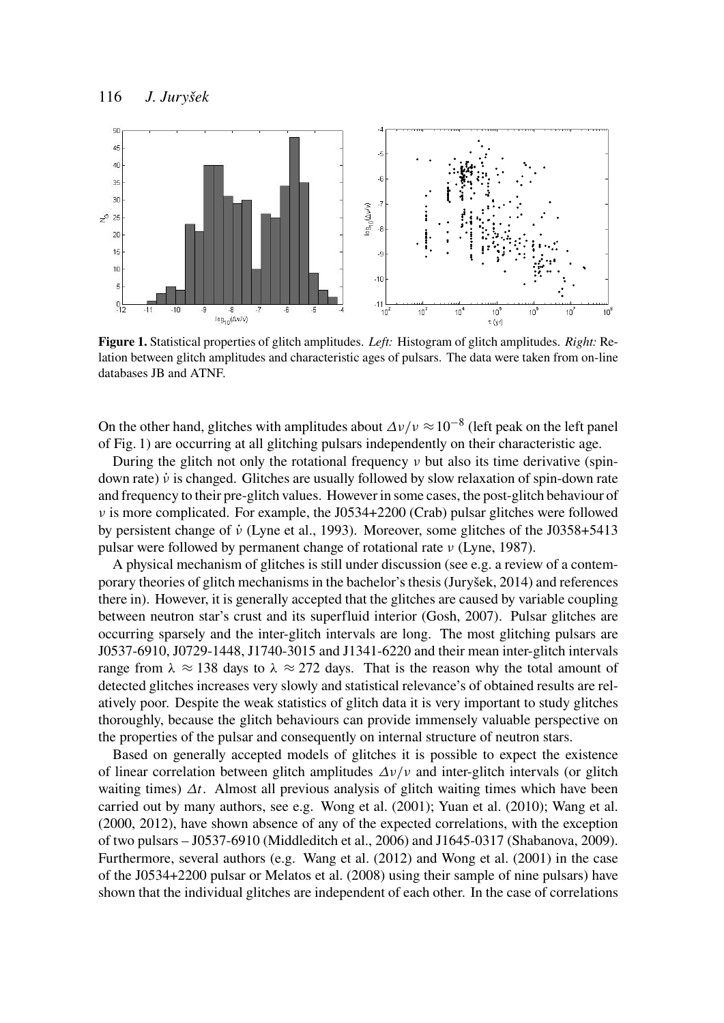

Figure 1. Statistical properties of glitch amplitudes. *Left:* Histogram of glitch amplitudes. *Right:* Relation between glitch amplitudes and characteristic ages of pulsars. The data were taken from on-line databases JB and ATNF.

On the other hand, glitches with amplitudes about  $\Delta v/v \approx 10^{-8}$  (left peak on the left panel of Fig. 1) are occurring at all glitching pulsars independently on their characteristic age.

During the glitch not only the rotational frequency  $\nu$  but also its time derivative (spindown rate)  $\dot{v}$  is changed. Glitches are usually followed by slow relaxation of spin-down rate and frequency to their pre-glitch values. However in some cases, the post-glitch behaviour of  $\nu$  is more complicated. For example, the J0534+2200 (Crab) pulsar glitches were followed by persistent change of  $\dot{v}$  (Lyne et al., 1993). Moreover, some glitches of the J0358+5413 pulsar were followed by permanent change of rotational rate ν (Lyne, 1987).

A physical mechanism of glitches is still under discussion (see e.g. a review of a contemporary theories of glitch mechanisms in the bachelor's thesis (Juryšek, 2014) and references there in). However, it is generally accepted that the glitches are caused by variable coupling between neutron star's crust and its superfluid interior (Gosh, 2007). Pulsar glitches are occurring sparsely and the inter-glitch intervals are long. The most glitching pulsars are J0537-6910, J0729-1448, J1740-3015 and J1341-6220 and their mean inter-glitch intervals range from  $\lambda \approx 138$  days to  $\lambda \approx 272$  days. That is the reason why the total amount of detected glitches increases very slowly and statistical relevance's of obtained results are relatively poor. Despite the weak statistics of glitch data it is very important to study glitches thoroughly, because the glitch behaviours can provide immensely valuable perspective on the properties of the pulsar and consequently on internal structure of neutron stars.

Based on generally accepted models of glitches it is possible to expect the existence of linear correlation between glitch amplitudes  $\Delta v/v$  and inter-glitch intervals (or glitch waiting times)  $\Delta t$ . Almost all previous analysis of glitch waiting times which have been carried out by many authors, see e.g. Wong et al. (2001); Yuan et al. (2010); Wang et al. (2000, 2012), have shown absence of any of the expected correlations, with the exception of two pulsars – J0537-6910 (Middleditch et al., 2006) and J1645-0317 (Shabanova, 2009). Furthermore, several authors (e.g. Wang et al. (2012) and Wong et al. (2001) in the case of the J0534+2200 pulsar or Melatos et al. (2008) using their sample of nine pulsars) have shown that the individual glitches are independent of each other. In the case of correlations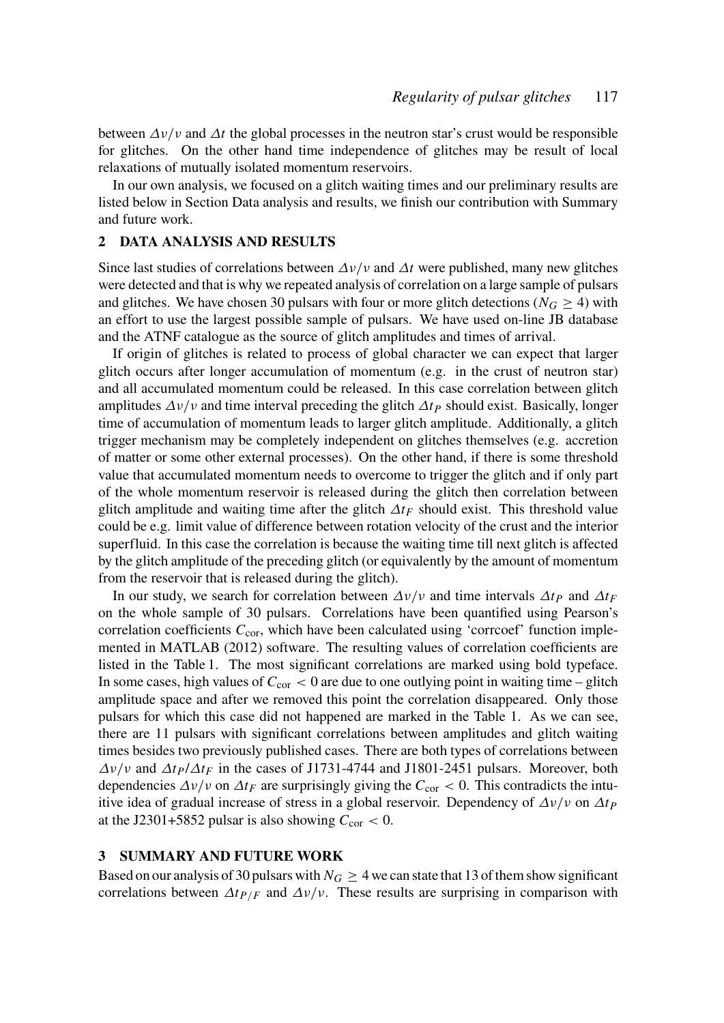between  $\Delta v/v$  and  $\Delta t$  the global processes in the neutron star's crust would be responsible for glitches. On the other hand time independence of glitches may be result of local relaxations of mutually isolated momentum reservoirs.

In our own analysis, we focused on a glitch waiting times and our preliminary results are listed below in Section Data analysis and results, we finish our contribution with Summary and future work.

#### 2 DATA ANALYSIS AND RESULTS

Since last studies of correlations between  $\Delta v/v$  and  $\Delta t$  were published, many new glitches were detected and that is why we repeated analysis of correlation on a large sample of pulsars and glitches. We have chosen 30 pulsars with four or more glitch detections ( $N_G \geq 4$ ) with an effort to use the largest possible sample of pulsars. We have used on-line JB database and the ATNF catalogue as the source of glitch amplitudes and times of arrival.

If origin of glitches is related to process of global character we can expect that larger glitch occurs after longer accumulation of momentum (e.g. in the crust of neutron star) and all accumulated momentum could be released. In this case correlation between glitch amplitudes  $\Delta v/v$  and time interval preceding the glitch  $\Delta t$ *P* should exist. Basically, longer time of accumulation of momentum leads to larger glitch amplitude. Additionally, a glitch trigger mechanism may be completely independent on glitches themselves (e.g. accretion of matter or some other external processes). On the other hand, if there is some threshold value that accumulated momentum needs to overcome to trigger the glitch and if only part of the whole momentum reservoir is released during the glitch then correlation between glitch amplitude and waiting time after the glitch  $\Delta t_F$  should exist. This threshold value could be e.g. limit value of difference between rotation velocity of the crust and the interior superfluid. In this case the correlation is because the waiting time till next glitch is affected by the glitch amplitude of the preceding glitch (or equivalently by the amount of momentum from the reservoir that is released during the glitch).

In our study, we search for correlation between  $\Delta v/v$  and time intervals  $\Delta t$ *P* and  $\Delta t$ *F* on the whole sample of 30 pulsars. Correlations have been quantified using Pearson's correlation coefficients  $C_{\text{cor}}$ , which have been calculated using 'corrcoef' function implemented in MATLAB (2012) software. The resulting values of correlation coefficients are listed in the Table 1. The most significant correlations are marked using bold typeface. In some cases, high values of  $C_{\text{cor}} < 0$  are due to one outlying point in waiting time – glitch amplitude space and after we removed this point the correlation disappeared. Only those pulsars for which this case did not happened are marked in the Table 1. As we can see, there are 11 pulsars with significant correlations between amplitudes and glitch waiting times besides two previously published cases. There are both types of correlations between  $\Delta v/v$  and  $\Delta t$ *P*/ $\Delta t$ *F* in the cases of J1731-4744 and J1801-2451 pulsars. Moreover, both dependencies  $\Delta v/v$  on  $\Delta t_F$  are surprisingly giving the  $C_{\text{cor}} < 0$ . This contradicts the intuitive idea of gradual increase of stress in a global reservoir. Dependency of  $\Delta v/v$  on  $\Delta t$ *P* at the J2301+5852 pulsar is also showing  $C_{\text{cor}} < 0$ .

## 3 SUMMARY AND FUTURE WORK

Based on our analysis of 30 pulsars with  $N_G \geq 4$  we can state that 13 of them show significant correlations between  $\Delta t_{P/F}$  and  $\Delta v/v$ . These results are surprising in comparison with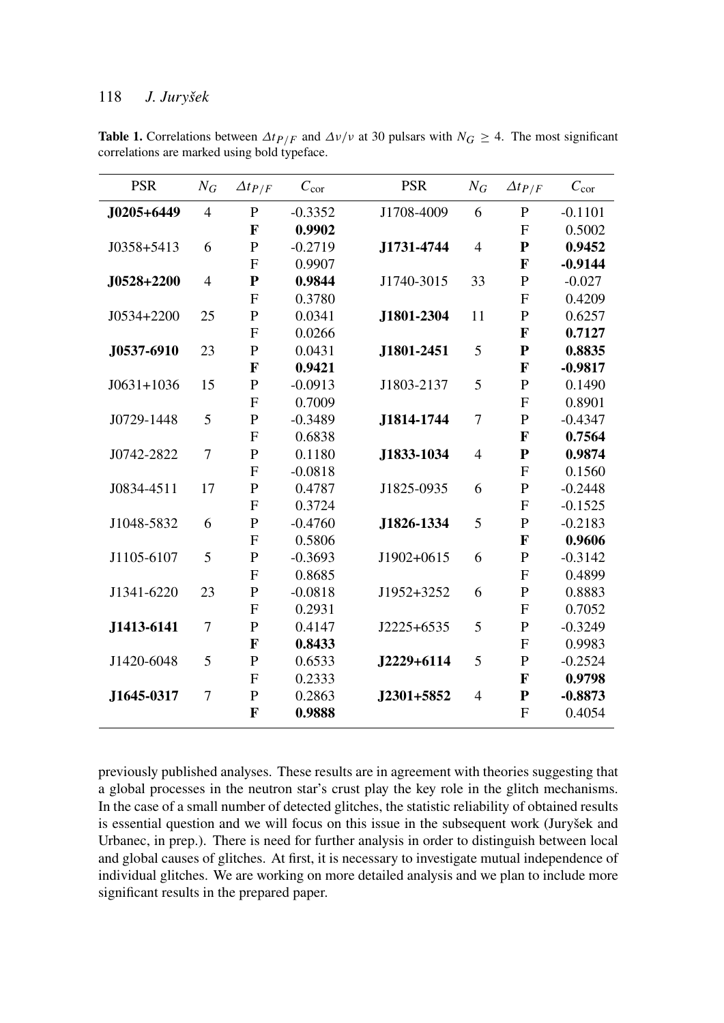### 118 *J. Juryšek*

| <b>PSR</b>     | $N_G$          | $\Delta t$ P/F | $C_{\rm cor}$ | <b>PSR</b> | $N_G$          | $\Delta t$ P/F | $C_{\rm cor}$ |
|----------------|----------------|----------------|---------------|------------|----------------|----------------|---------------|
| J0205+6449     | $\overline{4}$ | P              | $-0.3352$     | J1708-4009 | 6              | $\mathbf{P}$   | $-0.1101$     |
|                |                | F              | 0.9902        |            |                | $\mathbf{F}$   | 0.5002        |
| $J0358 + 5413$ | 6              | $\mathbf P$    | $-0.2719$     | J1731-4744 | $\overline{4}$ | P              | 0.9452        |
|                |                | $\mathbf F$    | 0.9907        |            |                | $\mathbf F$    | $-0.9144$     |
| J0528+2200     | $\overline{4}$ | ${\bf P}$      | 0.9844        | J1740-3015 | 33             | $\mathbf P$    | $-0.027$      |
|                |                | $\mathsf{F}$   | 0.3780        |            |                | $\overline{F}$ | 0.4209        |
| J0534+2200     | 25             | $\mathbf P$    | 0.0341        | J1801-2304 | 11             | $\mathbf P$    | 0.6257        |
|                |                | $\mathbf{F}$   | 0.0266        |            |                | $\mathbf F$    | 0.7127        |
| J0537-6910     | 23             | $\mathbf P$    | 0.0431        | J1801-2451 | 5              | ${\bf P}$      | 0.8835        |
|                |                | $\mathbf{F}$   | 0.9421        |            |                | $\mathbf F$    | $-0.9817$     |
| $J0631+1036$   | 15             | $\mathbf P$    | $-0.0913$     | J1803-2137 | 5              | $\mathbf P$    | 0.1490        |
|                |                | $\mathbf{F}$   | 0.7009        |            |                | $\mathbf{F}$   | 0.8901        |
| J0729-1448     | 5              | $\mathbf P$    | $-0.3489$     | J1814-1744 | $\overline{7}$ | $\mathbf P$    | $-0.4347$     |
|                |                | $\mathbf{F}$   | 0.6838        |            |                | F              | 0.7564        |
| J0742-2822     | $\overline{7}$ | $\mathbf P$    | 0.1180        | J1833-1034 | $\overline{4}$ | $\mathbf{P}$   | 0.9874        |
|                |                | $\overline{F}$ | $-0.0818$     |            |                | $\overline{F}$ | 0.1560        |
| J0834-4511     | 17             | $\mathbf P$    | 0.4787        | J1825-0935 | 6              | $\mathbf P$    | $-0.2448$     |
|                |                | $\mathbf{F}$   | 0.3724        |            |                | $\overline{F}$ | $-0.1525$     |
| J1048-5832     | 6              | $\mathbf P$    | $-0.4760$     | J1826-1334 | 5              | $\mathbf P$    | $-0.2183$     |
|                |                | $\mathbf F$    | 0.5806        |            |                | $\mathbf{F}$   | 0.9606        |
| J1105-6107     | 5              | $\mathbf P$    | $-0.3693$     | J1902+0615 | 6              | $\mathbf P$    | $-0.3142$     |
|                |                | $\mathbf F$    | 0.8685        |            |                | $\overline{F}$ | 0.4899        |
| J1341-6220     | 23             | $\mathbf P$    | $-0.0818$     | J1952+3252 | 6              | $\mathbf P$    | 0.8883        |
|                |                | $\mathbf{F}$   | 0.2931        |            |                | $\mathbf{F}$   | 0.7052        |
| J1413-6141     | $\overline{7}$ | $\mathbf P$    | 0.4147        | J2225+6535 | 5              | $\mathbf P$    | $-0.3249$     |
|                |                | F              | 0.8433        |            |                | $\mathbf{F}$   | 0.9983        |
| J1420-6048     | 5              | $\mathbf P$    | 0.6533        | J2229+6114 | 5              | $\mathbf P$    | $-0.2524$     |
|                |                | $\mathbf F$    | 0.2333        |            |                | F              | 0.9798        |
| J1645-0317     | 7              | $\mathbf P$    | 0.2863        | J2301+5852 | $\overline{4}$ | ${\bf P}$      | $-0.8873$     |
|                |                | F              | 0.9888        |            |                | $\mathbf F$    | 0.4054        |

**Table 1.** Correlations between  $\Delta t_{P/F}$  and  $\Delta v/v$  at 30 pulsars with  $N_G \geq 4$ . The most significant correlations are marked using bold typeface.

previously published analyses. These results are in agreement with theories suggesting that a global processes in the neutron star's crust play the key role in the glitch mechanisms. In the case of a small number of detected glitches, the statistic reliability of obtained results is essential question and we will focus on this issue in the subsequent work (Juryšek and Urbanec, in prep.). There is need for further analysis in order to distinguish between local and global causes of glitches. At first, it is necessary to investigate mutual independence of individual glitches. We are working on more detailed analysis and we plan to include more significant results in the prepared paper.